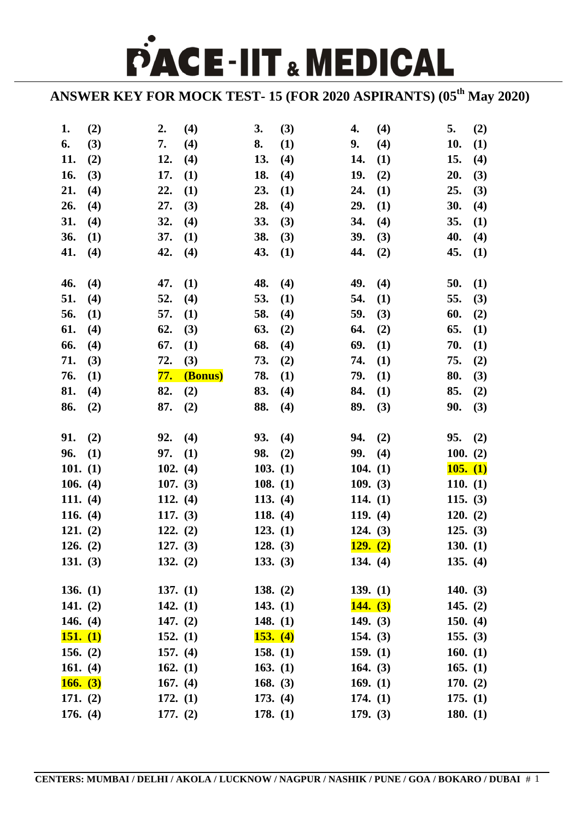PACE-IIT & MEDICAL

**ANSWER KEY FOR MOCK TEST- 15 (FOR 2020 ASPIRANTS) (05th May 2020)**

| 1.         | (2) | 2.                       | (4)     | 3.                   | (3) | 4.                     | (4) | 5.                     | (2)        |
|------------|-----|--------------------------|---------|----------------------|-----|------------------------|-----|------------------------|------------|
| 6.         | (3) | 7.                       | (4)     | 8.                   | (1) | 9.                     | (4) | 10.                    | (1)        |
| 11.        | (2) | 12.                      | (4)     | 13.                  | (4) | 14.                    | (1) | 15.                    | (4)        |
| 16.        | (3) | 17.                      | (1)     | 18.                  | (4) | 19.                    | (2) | 20.                    | (3)        |
| 21.        | (4) | 22.                      | (1)     | 23.                  | (1) | 24.                    | (1) | 25.                    | (3)        |
| 26.        | (4) | 27.                      | (3)     | 28.                  | (4) | 29.                    | (1) | 30.                    | (4)        |
| 31.        | (4) | 32.                      | (4)     | 33.                  | (3) | 34.                    | (4) | 35.                    | <b>(1)</b> |
| 36.        | (1) | 37.                      | (1)     | 38.                  | (3) | 39.                    | (3) | 40.                    | (4)        |
| 41.        | (4) | 42.                      | (4)     | 43.                  | (1) | 44.                    | (2) | 45.                    | (1)        |
|            |     |                          |         |                      |     |                        |     |                        |            |
| 46.        | (4) | 47.                      | (1)     | 48.                  | (4) | 49.                    | (4) | 50.                    | (1)        |
| 51.        | (4) | 52.                      | (4)     | 53.                  | (1) | 54.                    | (1) | 55.                    | (3)        |
| 56.        | (1) | 57.                      | (1)     | 58.                  | (4) | 59.                    | (3) | 60.                    | (2)        |
| 61.        | (4) | 62.                      | (3)     | 63.                  | (2) | 64.                    | (2) | 65.                    | <b>(1)</b> |
| 66.        | (4) | 67.                      | (1)     | 68.                  | (4) | 69.                    | (1) | 70.                    | (1)        |
| 71.        | (3) | 72.                      | (3)     | 73.                  | (2) | 74.                    | (1) | 75.                    | (2)        |
| 76.        | (1) | <mark>77.</mark>         | (Bonus) | 78.                  | (1) | 79.                    | (1) | 80.                    | (3)        |
| 81.        | (4) | 82.                      | (2)     | 83.                  | (4) | 84.                    | (1) | 85.                    | (2)        |
| 86.        | (2) | 87.                      | (2)     | 88.                  | (4) | 89.                    | (3) | 90.                    | (3)        |
|            |     |                          |         |                      |     |                        |     |                        |            |
| 91.        | (2) | 92.                      | (4)     | 93.                  | (4) | 94.                    | (2) | 95.                    | (2)        |
| 96.        | (1) | 97.                      | (1)     | 98.                  | (2) | 99.                    | (4) | 100. $(2)$             |            |
| 101. $(1)$ |     | 102. $(4)$               |         | 103. (1)             |     | 104. $(1)$             |     | 105. (1)               |            |
| 106. $(4)$ |     | 107. (3)                 |         | 108. (1)             |     | 109. $(3)$             |     | 110. $(1)$             |            |
| 111. $(4)$ |     | 112. $(4)$               |         | 113. $(4)$           |     | 114. $(1)$             |     | 115. $(3)$             |            |
| 116. $(4)$ |     | 117. $(3)$               |         | 118. $(4)$           |     | 119. (4)               |     | 120. (2)               |            |
| 121. (2)   |     | 122. (2)                 |         | 123. (1)             |     | 124. (3)               |     | 125. (3)               |            |
| 126. $(2)$ |     | 127. (3)                 |         | 128. (3)             |     | 129. (2)               |     | 130. (1)               |            |
| 131. $(3)$ |     | 132. $(2)$               |         | 133. (3)             |     | 134. $(4)$             |     | 135. $(4)$             |            |
|            |     |                          |         |                      |     |                        |     |                        |            |
| 136. $(1)$ |     | 137. $(1)$               |         | 138. $(2)$           |     | 139. (1)               |     | 140. $(3)$             |            |
| 141. $(2)$ |     | 142. $(1)$               |         | 143. $(1)$           |     | 144. (3)               |     | 145. $(2)$             |            |
| 146. $(4)$ |     | 147. $(2)$               |         | 148. $(1)$           |     | 149. $(3)$             |     | 150. $(4)$             |            |
| 151. (1)   |     | 152. $(1)$               |         | 153. (4)             |     | 154. $(3)$             |     | 155. (3)               |            |
| 156. $(2)$ |     | 157. $(4)$               |         | 158. $(1)$           |     | 159. $(1)$             |     | 160. $(1)$             |            |
| 161. $(4)$ |     | 162. $(1)$               |         | 163. $(1)$           |     | 164. $(3)$             |     | 165. $(1)$             |            |
| 166. (3)   |     | 167. $(4)$               |         | 168. $(3)$           |     | 169. $(1)$             |     | 170. (2)               |            |
| 171. $(2)$ |     |                          |         |                      |     |                        |     |                        |            |
|            |     |                          |         |                      |     |                        |     |                        |            |
| 176. $(4)$ |     | 172. $(1)$<br>177. $(2)$ |         | 173. (4)<br>178. (1) |     | 174. $(1)$<br>179. (3) |     | 175. (1)<br>180. $(1)$ |            |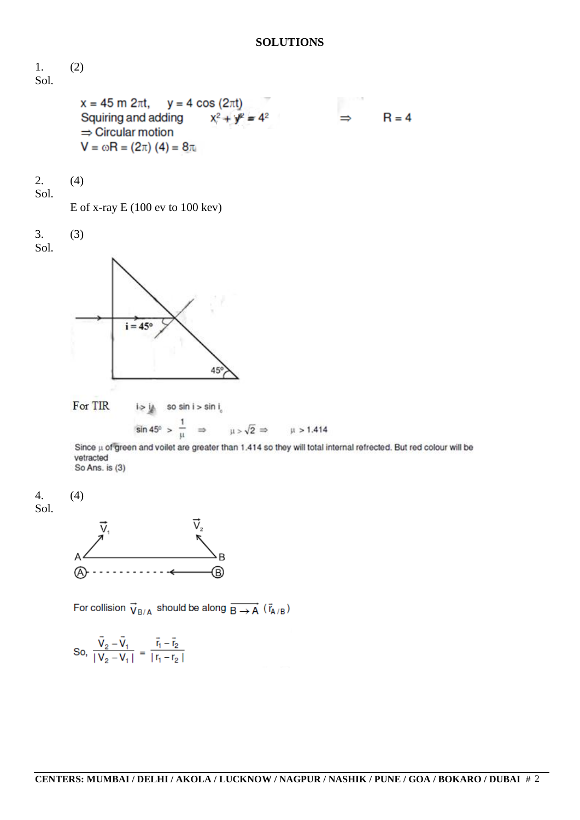## **SOLUTIONS**



vetracted So Ans. is (3)





For collision  $\vec{V}_{B/A}$  should be along  $\overrightarrow{B \rightarrow A}$  ( $\vec{r}_{A/B}$ )

So, 
$$
\frac{\vec{V}_2 - \vec{V}_1}{|V_2 - V_1|} = \frac{\vec{r}_1 - \vec{r}_2}{|r_1 - r_2|}
$$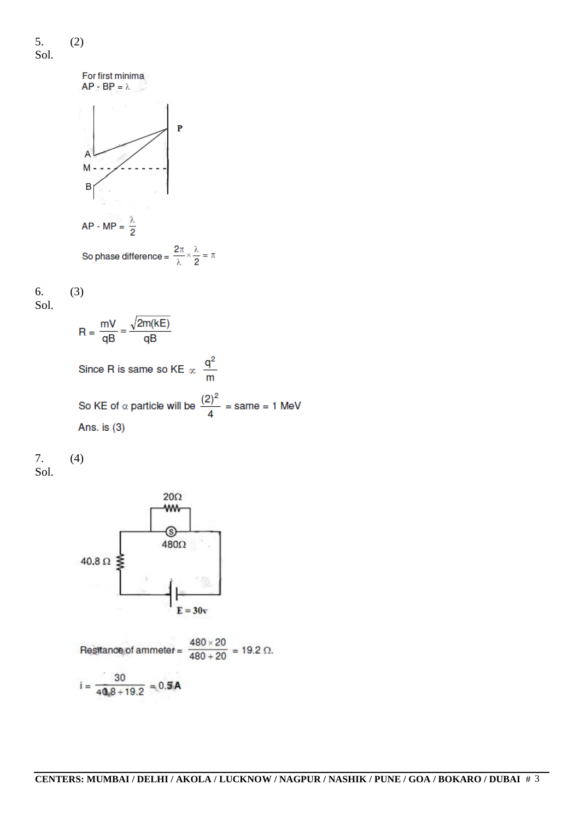5. (2) Sol.



$$
\begin{array}{ll} 6. & (3) \\ \text{Sol.} & \end{array}
$$

$$
R = \frac{mV}{qB} = \frac{\sqrt{2m(kE)}}{qB}
$$
  
Since R is same so KE  $\propto \frac{q^2}{m}$   
So KE of  $\propto$  particle will be  $\frac{(2)^2}{4} = \text{same} = 1 \text{ MeV}$ 

Ans. is (3)





Resitance of ammeter =  $\frac{480 \times 20}{480 + 20}$  = 19.2 Ω.  $i = \frac{30}{40.8 + 19.2} = 0.5A$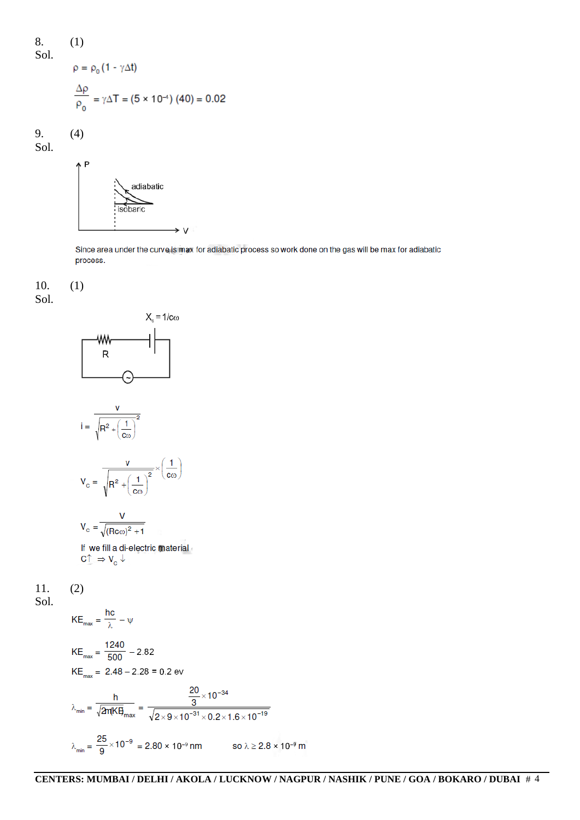(1)  
\n
$$
\rho = \rho_0 (1 - \gamma \Delta t)
$$
\n
$$
\frac{\Delta \rho}{\rho_0} = \gamma \Delta T = (5 \times 10^{-4}) (40) = 0.02
$$

9. (4) Sol.

8. Sol.



Since area under the curve is max for adiabatic process so work done on the gas will be max for adiabatic process.

 $10.$  (1) Sol.



$$
\lambda_{\text{min}} = \frac{25}{9} \times 10^{-9} = 2.80 \times 10^{-9} \text{ nm} \qquad \text{so } \lambda \ge 2.8 \times 10^{-9} \text{ m}
$$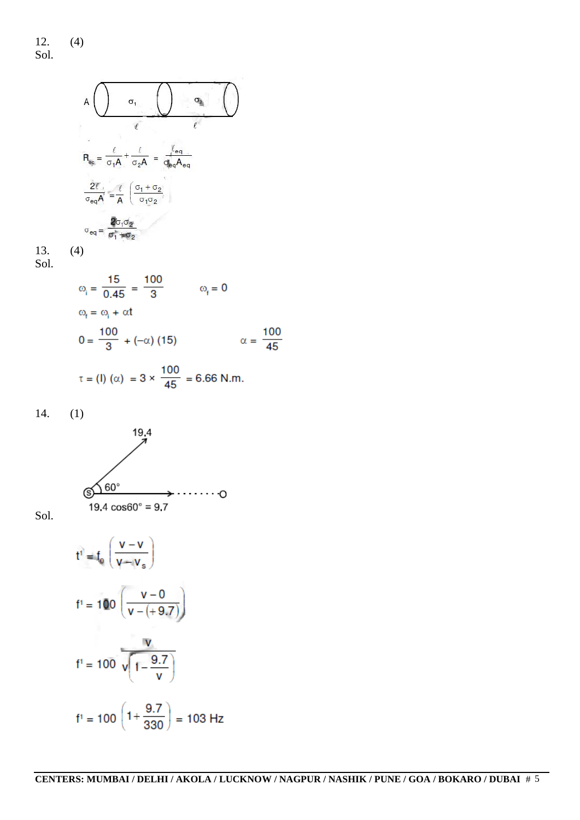$$
A \bigcup \sigma_1 \bigcup \sigma_2 \bigcup \sigma_3 \bigcap \sigma_4 \bigcap \sigma_5
$$
\n
$$
R_{eq} = \frac{\ell}{\sigma_1 A} + \frac{\ell}{\sigma_2 A} = \frac{\ell_{eq}}{d_{eq} A_{eq}}
$$
\n
$$
\frac{2\ell}{\sigma_{eq} A} = \frac{\ell}{A} \left( \frac{\sigma_1 + \sigma_2}{\sigma_1 \sigma_2} \right)
$$
\n
$$
\sigma_{eq} = \frac{2\sigma_1 \sigma_2}{\sigma_1 + \sigma_2}
$$

13. (4) Sol.

$$
301.
$$

$$
\omega_{i} = \frac{15}{0.45} = \frac{100}{3} \qquad \omega_{f} = 0
$$
  

$$
\omega_{f} = \omega_{i} + \alpha t
$$
  

$$
0 = \frac{100}{3} + (-\alpha) (15) \qquad \alpha = \frac{100}{45}
$$

$$
\tau = (1) (\alpha) = 3 \times \frac{100}{45} = 6.66
$$
 N.m.

14. (1)



Sol.

$$
t^{1} = f_0 \left( \frac{v - v}{v - v_s} \right)
$$
  
\n
$$
f' = 100 \left( \frac{v - 0}{v - (+9.7)} \right)
$$
  
\n
$$
f' = 100 \left( 1 - \frac{9.7}{v} \right)
$$
  
\n
$$
f' = 100 \left( 1 + \frac{9.7}{330} \right) = 103 Hz
$$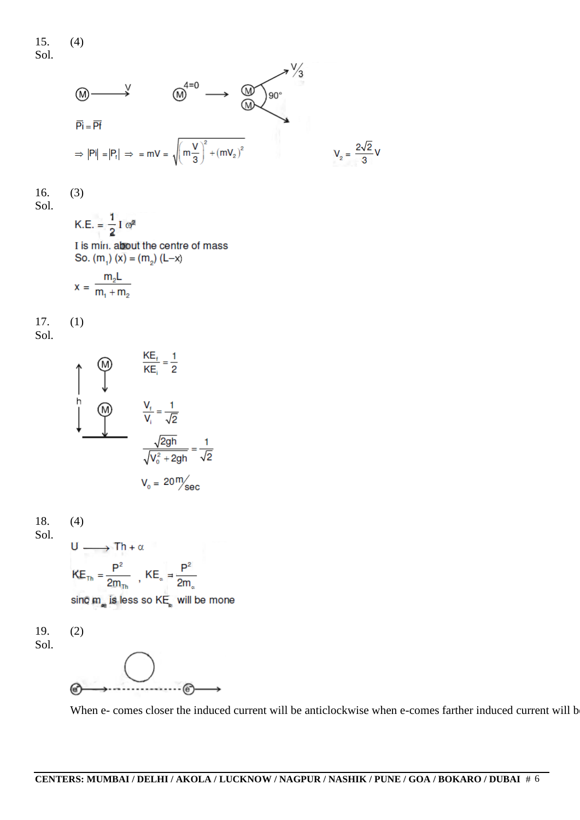

16. (3) Sol.

K.E. = 
$$
\frac{1}{2}
$$
 I  $\omega^2$   
I is min. about the centre of mass  
So.  $(m_1)$   $(x) = (m_2)$   $(L-x)$ 

$$
x = \frac{m_2 L}{m_1 + m_2}
$$

17. (1) Sol.

$$
\frac{\text{KE}_{t}}{\text{KE}_{i}} = \frac{1}{2}
$$
\n  
\n  
\n  
\n  
\n  
\n
$$
\frac{V_{t}}{V_{i}} = \frac{1}{\sqrt{2}}
$$
\n  
\n
$$
\frac{\sqrt{2gh}}{\sqrt{V_{0}^{2} + 2gh}} = \frac{1}{\sqrt{2}}
$$
\n  
\n
$$
V_{0} = 20 \frac{\text{m}}{\text{sec}}
$$

18. (4) Sol.  $U \longrightarrow Th + \alpha$  $KE_{\text{Th}} = \frac{P^2}{2m_{\text{Th}}}$ ,  $KE_{\text{a}} = \frac{P^2}{2m_{\text{a}}}$ 

sinc  $m_{\bullet}$  is less so  $\mathsf{KE}_\bullet$  will be mone

19. (2) Sol.

$$
\circledcirc \qquad \circledcirc \qquad \circledcirc
$$

When e- comes closer the induced current will be anticlockwise when e-comes farther induced current will b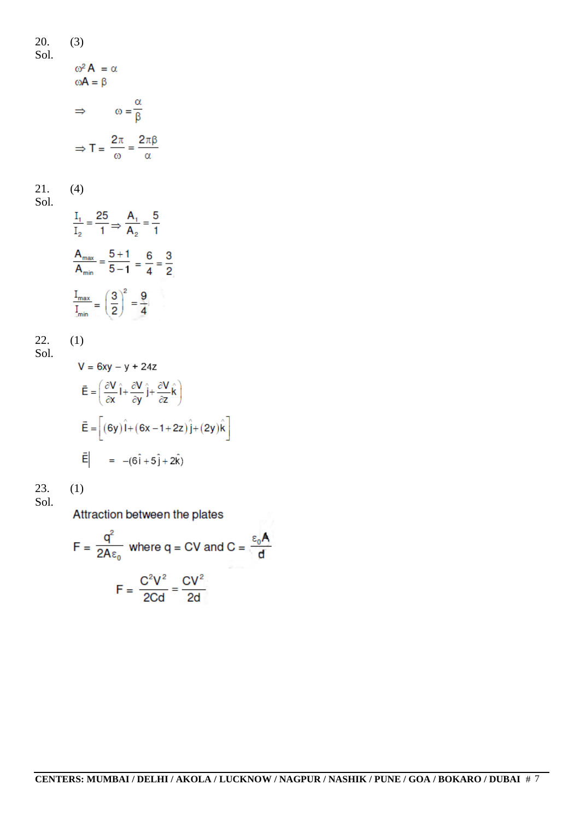20. (3) Sol.  $\omega^2 A = \alpha$  $\omega A = \beta$  $\Rightarrow$   $\omega = \frac{\alpha}{\beta}$  $\Rightarrow T = \frac{2\pi}{\omega} = \frac{2\pi\beta}{\alpha}$ 21. (4) Sol.  $\frac{I_1}{I_2} = \frac{25}{1} \Rightarrow \frac{A_1}{A_2} = \frac{5}{1}$  $\frac{A_{\text{max}}}{A_{\text{min}}} = \frac{5+1}{5-1} = \frac{6}{4} = \frac{3}{2}$  $\frac{I_{max}}{I_{min}} = \left(\frac{3}{2}\right)^2 = \frac{9}{4}$ 22. (1) Sol.  $V = 6xy - y + 24z$  $\vec{E} = \left(\frac{\partial V}{\partial x}\hat{i} + \frac{\partial V}{\partial y}\hat{j} + \frac{\partial V}{\partial z}\hat{k}\right)$  $\vec{E} = \left[ (6y)\hat{i} + (6x - 1 + 2z)\hat{j} + (2y)\hat{k} \right]$  $\vec{E}$  =  $-(6\hat{i} + 5\hat{j} + 2\hat{k})$ 23.  $(1)$ Sol.

Attraction between the plates

$$
F = \frac{q^2}{2A\epsilon_0} \text{ where } q = CV \text{ and } C = \frac{\epsilon_0 A}{d}
$$

$$
F = \frac{C^2 V^2}{2Cd} = \frac{CV^2}{2d}
$$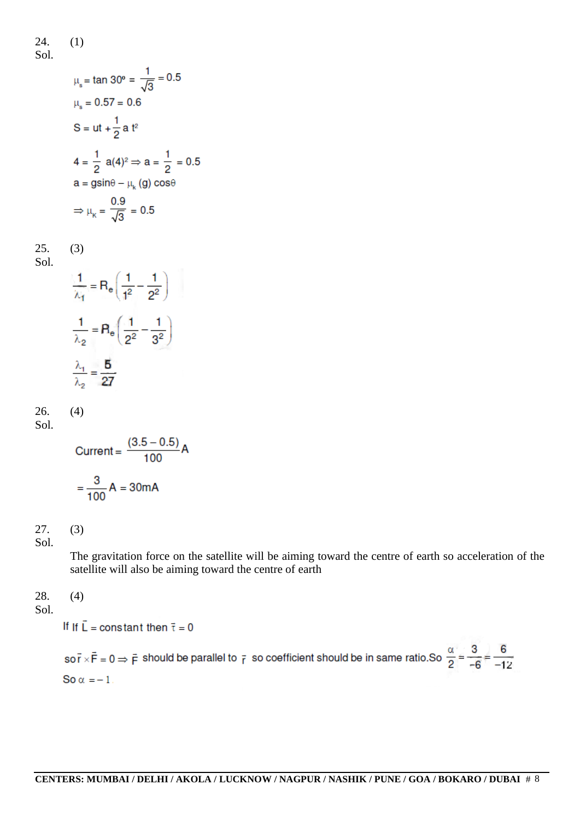24. (1)

Sol.

$$
\mu_s = \tan 30^\circ = \frac{1}{\sqrt{3}} = 0.5
$$
  
\n
$$
\mu_s = 0.57 = 0.6
$$
  
\nS = ut +  $\frac{1}{2}$  a t<sup>2</sup>  
\n4 =  $\frac{1}{2}$  a(4)<sup>2</sup>  $\Rightarrow$  a =  $\frac{1}{2}$  = 0.5  
\na = g sin $\theta$  -  $\mu_k$  (g) cos $\theta$   
\n
$$
\Rightarrow \mu_k = \frac{0.9}{\sqrt{3}} = 0.5
$$

$$
\begin{array}{cc} 25. & (3) \\ \text{Sol.} & \end{array}
$$

$$
\frac{1}{\lambda_1} = R_e \left( \frac{1}{1^2} - \frac{1}{2^2} \right)
$$

$$
\frac{1}{\lambda_2} = R_e \left( \frac{1}{2^2} - \frac{1}{3^2} \right)
$$

$$
\frac{\lambda_1}{\lambda_2} = \frac{5}{27}
$$

26. (4) Sol.

Current = 
$$
\frac{(3.5 - 0.5)}{100} A
$$

$$
= \frac{3}{100} A = 30 mA
$$

## 27. (3)

Sol.

The gravitation force on the satellite will be aiming toward the centre of earth so acceleration of the satellite will also be aiming toward the centre of earth

## 28. (4)

Sol.

If If  $\vec{L}$  = constant then  $\vec{\tau}$  = 0

so  $\vec{r} \times \vec{F} = 0 \Rightarrow \vec{F}$  should be parallel to  $\vec{r}$  so coefficient should be in same ratio.So  $\frac{\alpha}{2} = \frac{3}{-6} = \frac{6}{-12}$ So  $\alpha = -1$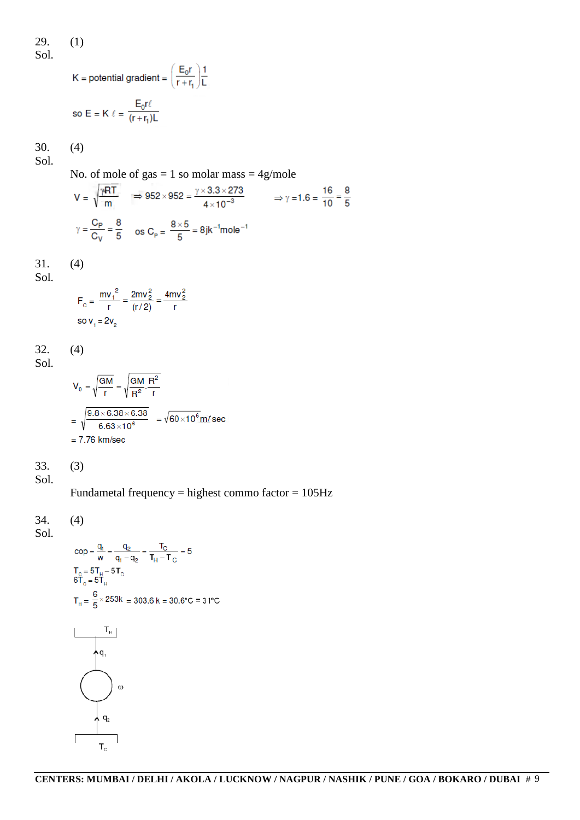29. (1) Sol.

$$
K = \text{potential gradient} = \left(\frac{E_0 r}{r + r_1}\right) \frac{1}{L}
$$
  
so  $E = K \ell = \frac{E_0 r \ell}{(r + r_1)L}$ 

30. (4) Sol.

No. of mole of  $gas = 1$  so molar mass  $= 4g/mole$ 

$$
V = \sqrt{\frac{\gamma RT}{m}} \implies 952 \times 952 = \frac{\gamma \times 3.3 \times 273}{4 \times 10^{-3}} \implies \gamma = 1.6 = \frac{16}{10} = \frac{8}{5}
$$
  

$$
\gamma = \frac{C_P}{C_V} = \frac{8}{5} \text{ os } C_P = \frac{8 \times 5}{5} = 8 \text{ jk}^{-1} \text{mole}^{-1}
$$

$$
31.
$$

 $(4)$ 

Sol.

$$
F_c = \frac{mv_1^2}{r} = \frac{2mv_2^2}{(r/2)} = \frac{4mv_2^2}{r}
$$
  
so v<sub>1</sub> = 2v<sub>2</sub>

32. (4)

Sol.

$$
V_0 = \sqrt{\frac{GM}{r}} = \sqrt{\frac{GM}{R^2} \cdot \frac{R^2}{r}}
$$
  
=  $\sqrt{\frac{9.8 \times 6.38 \times 6.38}{6.63 \times 10^6}} = \sqrt{60 \times 10^6} \text{ m/sec}$   
= 7.76 km/sec

33. (3)

Sol.

Fundametal frequency = highest commo factor = 105Hz

34. (4)

Sol.

$$
cop = \frac{q_1}{w} = \frac{q_2}{q_1 - q_2} = \frac{T_C}{T_H - T_C} = 5
$$
  
\n
$$
T_C = 5T_H - 5T_C
$$
  
\n
$$
T_C = 5T_H
$$
  
\n
$$
T_H = \frac{6}{5} \times 253k = 303.6 k = 30.6°C = 31°C
$$
  
\n
$$
T_H
$$
  
\n
$$
q_1
$$
  
\n
$$
q_2
$$
  
\n
$$
T_C
$$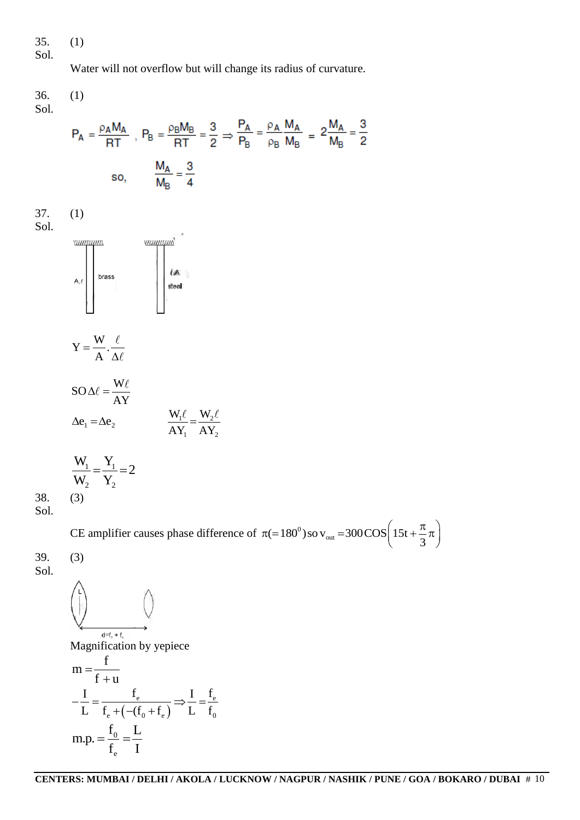35. (1)

Sol.

Water will not overflow but will change its radius of curvature.

36. (1) Sol.

$$
P_A = \frac{\rho_A M_A}{RT} , P_B = \frac{\rho_B M_B}{RT} = \frac{3}{2} \Rightarrow \frac{P_A}{P_B} = \frac{\rho_A M_A}{\rho_B M_B} = 2 \frac{M_A}{M_B} = \frac{3}{2}
$$
  
so, 
$$
\frac{M_A}{M_B} = \frac{3}{4}
$$

37. (1)





$$
Y = \frac{W}{A} \cdot \frac{\ell}{\Delta \ell}
$$
  
\n
$$
SO \Delta \ell = \frac{W \ell}{AY}
$$
  
\n
$$
\Delta e_1 = \Delta e_2
$$
  
\n
$$
\frac{W_1 \ell}{AY_1} = \frac{W_2 \ell}{AY_2}
$$

$$
\frac{W_1}{W_2} = \frac{Y_1}{Y_2} = 2
$$
  
38. (3)

Sol.

CE amplifier causes phase difference of  $\pi$ (=180<sup>0</sup>)  $v_{\text{out}} = 300 \text{COS} \left( 15t + \frac{\pi}{3} \right)$  $\pi$ (=180<sup>o</sup>) so v<sub>out</sub> =300 COS  $\left(15t + \frac{\pi}{3}\pi\right)$ 

39. (3) Sol.

> $d = f_0 + f_0$ Magnification by yepiece f m  $=$  $f + u$  $\overline{+}$  $I + u$ <br> $I - \frac{f_e}{f_e} \rightarrow \frac{I - f_e}{f_e}$  $-\frac{I}{I} = \frac{f_e}{f_e}$  $\frac{e}{e}$   $\longrightarrow$   $\frac{I}{e}$   $\frac{f_e}{e}$  $\frac{1}{L} = \frac{I_e}{f_e + \left(-(f_0 + f_e)\right)} \Rightarrow \frac{1}{L} = \frac{1}{f}$  $\frac{I_e}{+(- (f_0 + f_e))}$  $e_e + (- (f_0 + f_e)$  L  $f_0$  $(- (f_0 + f_e)$  $f_0$  L m.p.  $=\frac{1}{2}$  =  $\frac{1}{2}$ 0  $f_e$  I e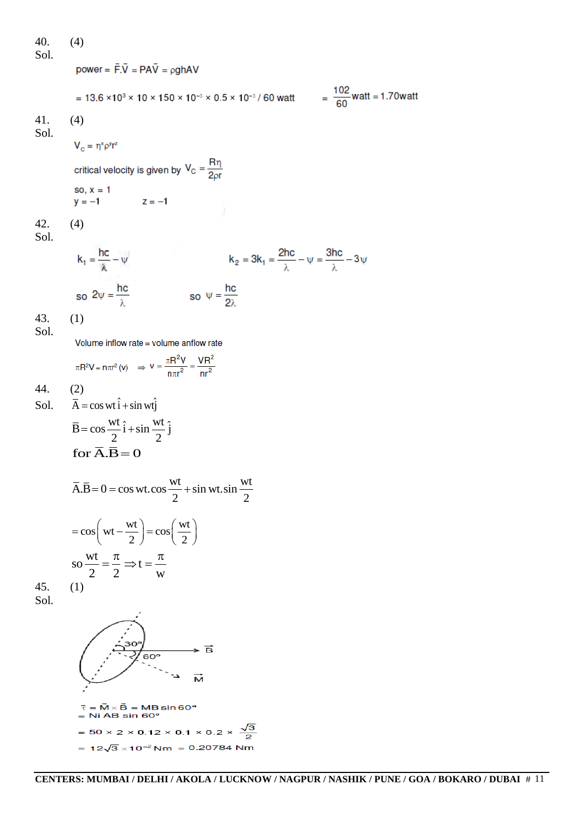40. (4)  
\n40. (a)  
\n501. 
$$
power = \vec{F} \cdot \vec{V} = PA\vec{V} = pghAV
$$
\n
$$
= 13.6 \times 10^{3} \times 10 \times 150 \times 10^{-3} \times 0.5 \times 10^{-3} / 60 \text{ wat} = \frac{102}{60} \text{wat} = 1.70 \text{wat}
$$
\n41. (4)  
\n501. 
$$
V_{c} = \eta^{x}p^{y}r^{z}
$$
\ncritical velocity is given by  $V_{C} = \frac{R\eta}{2pr}$   
\nso,  $x = 1$   
\n $y = -1$   
\n42. (4)  
\n501. 
$$
k_{1} = \frac{hc}{\lambda} - \psi
$$
\n
$$
k_{2} = 3k_{1} = \frac{2hc}{\lambda} - \psi = \frac{3hc}{\lambda} - 3\psi
$$
\nso  $2\psi = \frac{hc}{\lambda}$   
\nso  $2\psi = \frac{hc}{\lambda}$   
\n43. (1)  
\n501. Volume inflow rate = volume andflow rate  
\n
$$
\pi R^{2}V = n\pi r^{2}(v) \Rightarrow v = \frac{\pi R^{2}V}{n\pi r^{2}} = \frac{VR^{2}}{n r^{2}}
$$
\n44. (2)  
\n501.  $\overline{A} = \cos wt \hat{i} + \sin wt \hat{j}$   
\n $\overline{B} = \cos \frac{wt}{2} \hat{i} + \sin \frac{wt}{2} \hat{j}$   
\nfor  $\overline{A} \cdot \overline{B} = O$   
\n $\overline{A} \overline{B} = 0 = \cos wt \cdot \cos \frac{wt}{2} + \sin wt \cdot \sin \frac{wt}{2}$ 

$$
= \cos\left(wt - \frac{wt}{2}\right) = \cos\left(\frac{wt}{2}\right)
$$

$$
\text{so } \frac{wt}{2} = \frac{\pi}{2} \Rightarrow t = \frac{\pi}{w}
$$

$$
(1)
$$

45. Sol.

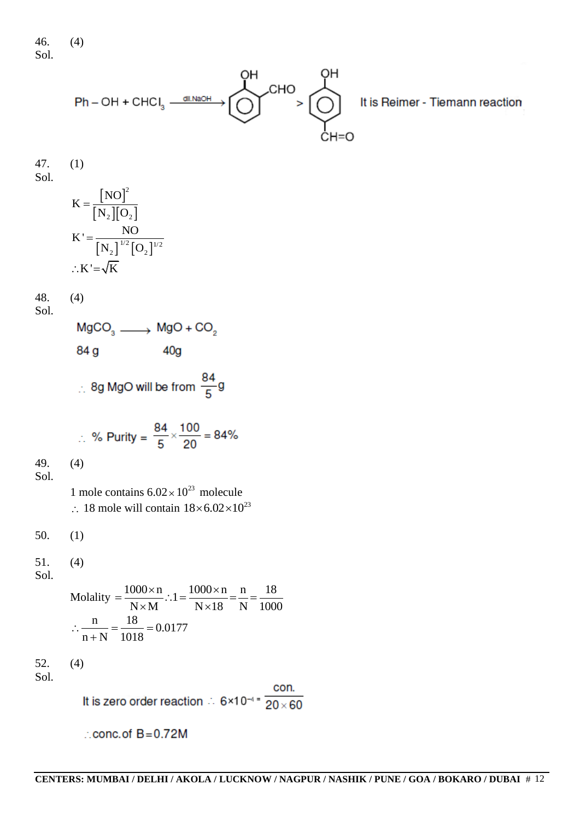46. (4) Sol.



47. (1) Sol.

$$
K = \frac{[NO]^2}{[N_2][O_2]}
$$
  
\n
$$
K' = \frac{NO}{[N_2]^{1/2}[O_2]^{1/2}}
$$
  
\n
$$
\therefore K' = \sqrt{K}
$$

$$
\frac{48.}{91}
$$

 $(4)$ 

Sol.

 $MgCO<sub>3</sub>$   $\longrightarrow$   $MgO + CO<sub>2</sub>$ 84 g  $40<sub>q</sub>$ 

∴ 8g MgO will be from  $\frac{84}{5}$ g

$$
\therefore \% \text{ Purity} = \frac{84}{5} \times \frac{100}{20} = 84\%
$$

49. (4)

Sol.

1 mole contains  $6.02 \times 10^{23}$  molecule  $\therefore$  18 mole will contain  $18 \times 6.02 \times 10^{23}$ 

50. (1)

51. (4)

Sol.

Molality 
$$
=
$$
  $\frac{1000 \times n}{N \times M}$   $\therefore 1 = \frac{1000 \times n}{N \times 18} = \frac{n}{N} = \frac{18}{1000}$   
 $\therefore \frac{n}{n+N} = \frac{18}{1018} = 0.0177$ 

52. (4)

Sol.

It is zero order reaction  $\therefore$  6×10<sup>-4</sup> =  $\frac{\text{con.}}{20 \times 60}$ 

 $\therefore$  conc. of  $B = 0.72M$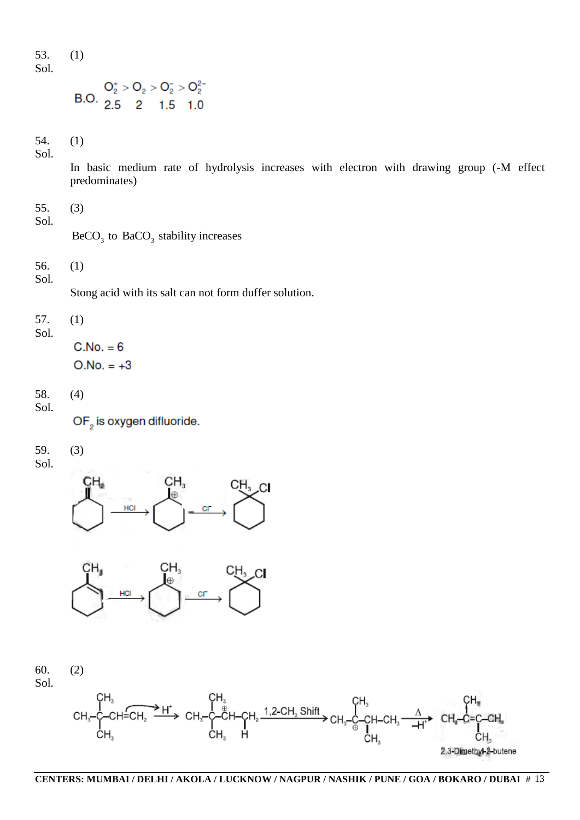53. (1) Sol.

$$
O_2^+ > O_2 > O_2^- > O_2^2
$$
  
B.O. 2.5 2 1.5 1.0

54. (1) Sol.

> In basic medium rate of hydrolysis increases with electron with drawing group (-M effect predominates)

55. (3)

Sol.

 $BeCO<sub>3</sub>$  to  $BaCO<sub>3</sub>$  stability increases

56. (1) Sol.

Stong acid with its salt can not form duffer solution.

57. (1)

Sol.

 $C.No. = 6$  $O.No. = +3$ 

58. (4) Sol.

OF<sub>2</sub> is oxygen difluoride.

59. (3)

Sol.





60. (2) Sol.

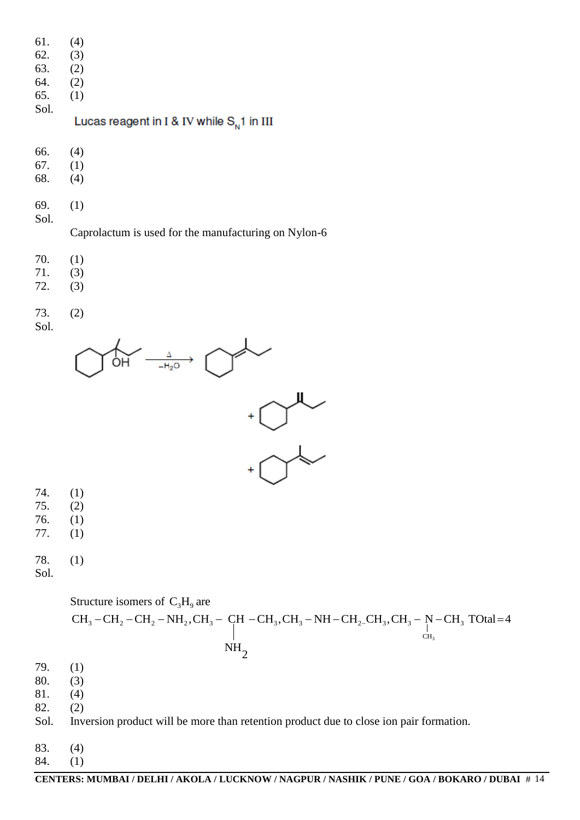| 61. | (4) |
|-----|-----|
|     |     |

- 62. (3)
- 63. (2)
- 64. (2)
- 65. (1) Sol.

Lucas reagent in I & IV while  $S_{N}$ 1 in III

- 66. (4)
- 67. (1)
- 68. (4)
- 69. (1) Sol.

Caprolactum is used for the manufacturing on Nylon-6

- 70. (1)
- 71. (3)
- 72. (3)

73. (2) Sol.





- 74. (1)
- 75. (2) 76. (1)
- 77. (1)

78. (1)

Sol.



- 79. (1)
- 80. (3)
- 81. (4)
- 82. (2)
- Sol. Inversion product will be more than retention product due to close ion pair formation.
- 83. (4)
- 84. (1)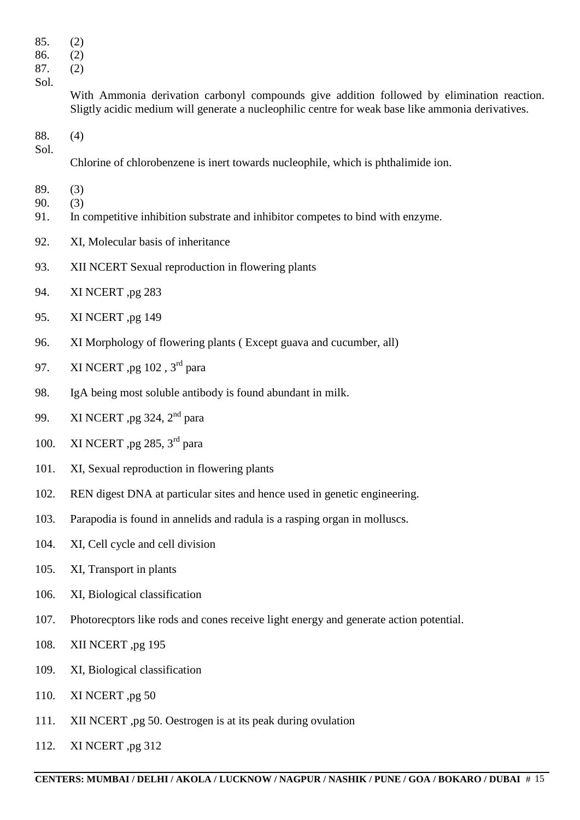- 85. (2)
- 86. (2)
- 87. (2) Sol.

With Ammonia derivation carbonyl compounds give addition followed by elimination reaction. Sligtly acidic medium will generate a nucleophilic centre for weak base like ammonia derivatives.

88. (4) Sol.

Chlorine of chlorobenzene is inert towards nucleophile, which is phthalimide ion.

- 89. (3)
- 90. (3)
- 91. In competitive inhibition substrate and inhibitor competes to bind with enzyme.
- 92. XI, Molecular basis of inheritance
- 93. XII NCERT Sexual reproduction in flowering plants
- 94. XI NCERT ,pg 283
- 95. XI NCERT ,pg 149
- 96. XI Morphology of flowering plants ( Except guava and cucumber, all)
- 97. XI NCERT ,pg  $102$  ,  $3<sup>rd</sup>$  para
- 98. IgA being most soluble antibody is found abundant in milk.
- 99. XI NCERT ,pg 324, 2<sup>nd</sup> para
- 100. XI NCERT ,pg 285, 3<sup>rd</sup> para
- 101. XI, Sexual reproduction in flowering plants
- 102. REN digest DNA at particular sites and hence used in genetic engineering.
- 103. Parapodia is found in annelids and radula is a rasping organ in molluscs.
- 104. XI, Cell cycle and cell division
- 105. XI, Transport in plants
- 106. XI, Biological classification
- 107. Photorecptors like rods and cones receive light energy and generate action potential.
- 108. XII NCERT ,pg 195
- 109. XI, Biological classification
- 110. XI NCERT ,pg 50
- 111. XII NCERT ,pg 50. Oestrogen is at its peak during ovulation
- 112. XI NCERT ,pg 312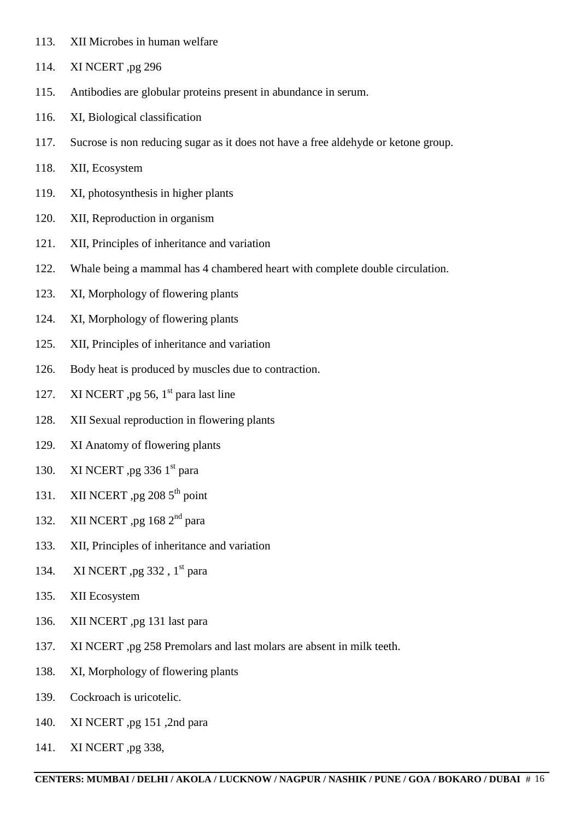- 113. XII Microbes in human welfare
- 114. XI NCERT ,pg 296
- 115. Antibodies are globular proteins present in abundance in serum.
- 116. XI, Biological classification
- 117. Sucrose is non reducing sugar as it does not have a free aldehyde or ketone group.
- 118. XII, Ecosystem
- 119. XI, photosynthesis in higher plants
- 120. XII, Reproduction in organism
- 121. XII, Principles of inheritance and variation
- 122. Whale being a mammal has 4 chambered heart with complete double circulation.
- 123. XI, Morphology of flowering plants
- 124. XI, Morphology of flowering plants
- 125. XII, Principles of inheritance and variation
- 126. Body heat is produced by muscles due to contraction.
- 127. XI NCERT ,pg 56,  $1<sup>st</sup>$  para last line
- 128. XII Sexual reproduction in flowering plants
- 129. XI Anatomy of flowering plants
- 130. XI NCERT ,pg 336  $1<sup>st</sup>$  para
- 131. XII NCERT ,pg  $208\,5^{th}$  point
- 132. XII NCERT ,pg  $168 \text{ } 2^{\text{nd}}$  para
- 133. XII, Principles of inheritance and variation
- 134. XI NCERT ,pg 332, 1<sup>st</sup> para
- 135. XII Ecosystem
- 136. XII NCERT ,pg 131 last para
- 137. XI NCERT ,pg 258 Premolars and last molars are absent in milk teeth.
- 138. XI, Morphology of flowering plants
- 139. Cockroach is uricotelic.
- 140. XI NCERT ,pg 151 ,2nd para
- 141. XI NCERT ,pg 338,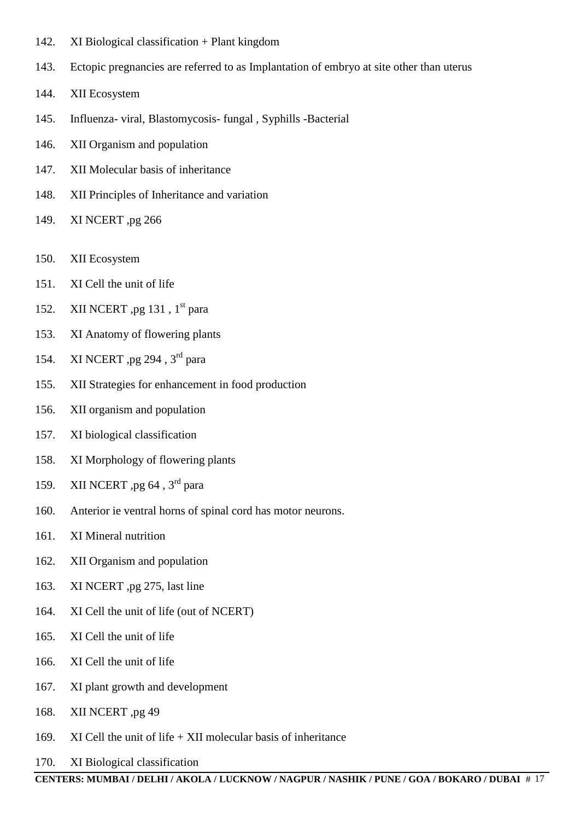- 142. XI Biological classification + Plant kingdom
- 143. Ectopic pregnancies are referred to as Implantation of embryo at site other than uterus
- 144. XII Ecosystem
- 145. Influenza- viral, Blastomycosis- fungal , Syphills -Bacterial
- 146. XII Organism and population
- 147. XII Molecular basis of inheritance
- 148. XII Principles of Inheritance and variation
- 149. XI NCERT ,pg 266
- 150. XII Ecosystem
- 151. XI Cell the unit of life
- 152. XII NCERT ,pg 131,  $1<sup>st</sup>$  para
- 153. XI Anatomy of flowering plants
- 154. XI NCERT , pg 294 , 3<sup>rd</sup> para
- 155. XII Strategies for enhancement in food production
- 156. XII organism and population
- 157. XI biological classification
- 158. XI Morphology of flowering plants
- 159. XII NCERT ,pg 64, 3<sup>rd</sup> para
- 160. Anterior ie ventral horns of spinal cord has motor neurons.
- 161. XI Mineral nutrition
- 162. XII Organism and population
- 163. XI NCERT ,pg 275, last line
- 164. XI Cell the unit of life (out of NCERT)
- 165. XI Cell the unit of life
- 166. XI Cell the unit of life
- 167. XI plant growth and development
- 168. XII NCERT ,pg 49
- 169. XI Cell the unit of life  $+$  XII molecular basis of inheritance
- 170. XI Biological classification